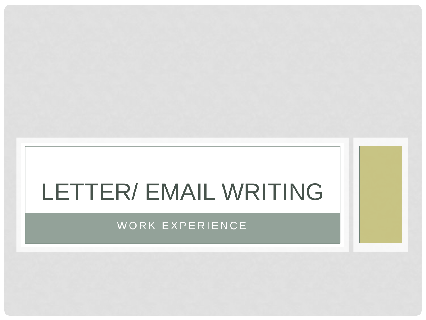# LETTER/ EMAIL WRITING

#### WORK EXPERIENCE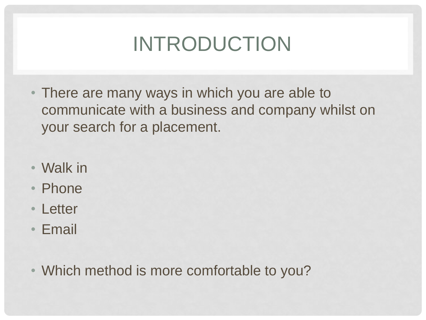## INTRODUCTION

- There are many ways in which you are able to communicate with a business and company whilst on your search for a placement.
- Walk in
- Phone
- Letter
- Email
- Which method is more comfortable to you?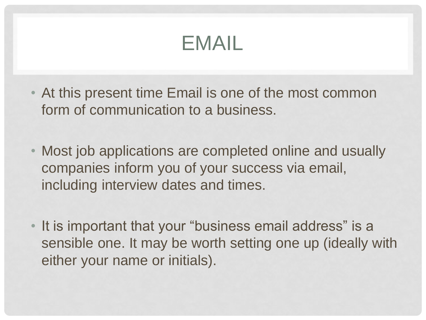#### EMAIL

- At this present time Email is one of the most common form of communication to a business.
- Most job applications are completed online and usually companies inform you of your success via email, including interview dates and times.
- It is important that your "business email address" is a sensible one. It may be worth setting one up (ideally with either your name or initials).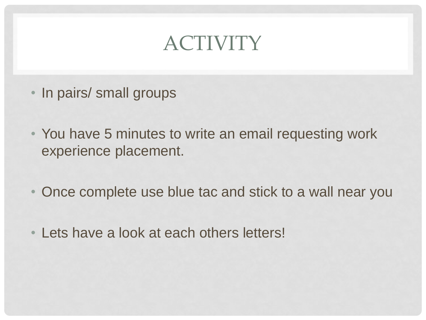### ACTIVITY

- In pairs/ small groups
- You have 5 minutes to write an email requesting work experience placement.
- Once complete use blue tac and stick to a wall near you
- Lets have a look at each others letters!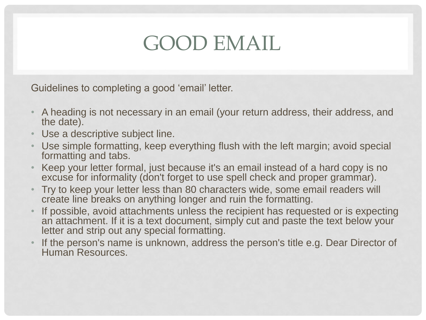#### GOOD EMAIL

Guidelines to completing a good 'email' letter.

- A heading is not necessary in an email (your return address, their address, and the date).
- Use a descriptive subject line.
- Use simple formatting, keep everything flush with the left margin; avoid special formatting and tabs.
- Keep your letter formal, just because it's an email instead of a hard copy is no excuse for informality (don't forget to use spell check and proper grammar).
- Try to keep your letter less than 80 characters wide, some email readers will create line breaks on anything longer and ruin the formatting.
- If possible, avoid attachments unless the recipient has requested or is expecting an attachment. If it is a text document, simply cut and paste the text below your letter and strip out any special formatting.
- If the person's name is unknown, address the person's title e.g. Dear Director of Human Resources.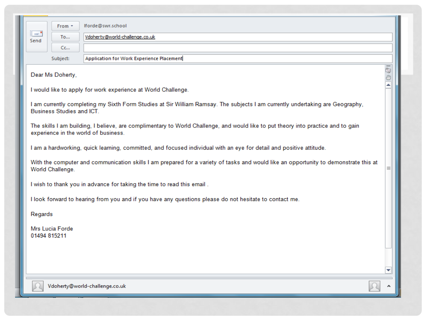| Iforde@swr.school<br>From *                                                                                                                                               |     |
|---------------------------------------------------------------------------------------------------------------------------------------------------------------------------|-----|
| $\mathbb{I} =$<br>Vdoherty@world-challenge.co.uk<br>To<br>Send                                                                                                            |     |
| Cc                                                                                                                                                                        |     |
| Application for Work Experience Placement<br>Subject:                                                                                                                     |     |
| Dear Ms Doherty,                                                                                                                                                          | 100 |
| I would like to apply for work experience at World Challenge.                                                                                                             | ۸   |
| I am currently completing my Sixth Form Studies at Sir William Ramsay. The subjects I am currently undertaking are Geography,<br><b>Business Studies and ICT.</b>         |     |
| The skills I am building, I believe, are complimentary to World Challenge, and would like to put theory into practice and to gain<br>experience in the world of business. |     |
| I am a hardworking, quick learning, committed, and focused individual with an eye for detail and positive attitude.                                                       |     |
| With the computer and communication skills I am prepared for a variety of tasks and would like an opportunity to demonstrate this at<br>World Challenge.                  | ≣   |
| I wish to thank you in advance for taking the time to read this email.                                                                                                    |     |
| I look forward to hearing from you and if you have any questions please do not hesitate to contact me.                                                                    |     |
| Regards                                                                                                                                                                   |     |
| Mrs Lucia Forde<br>01494 815211                                                                                                                                           |     |
|                                                                                                                                                                           |     |
|                                                                                                                                                                           | ▼   |
| Vdoherty@world-challenge.co.uk                                                                                                                                            |     |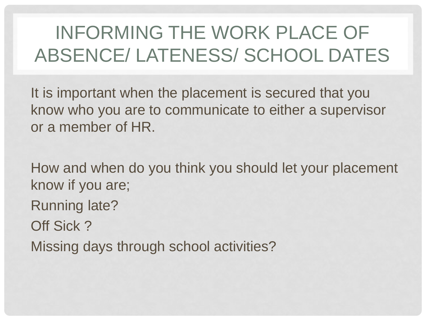#### INFORMING THE WORK PLACE OF ABSENCE/ LATENESS/ SCHOOL DATES

It is important when the placement is secured that you know who you are to communicate to either a supervisor or a member of HR.

How and when do you think you should let your placement know if you are; Running late? Off Sick ? Missing days through school activities?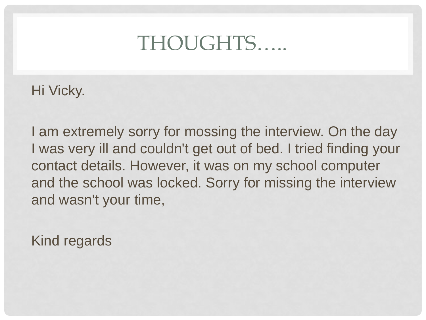#### THOUGHTS…..

Hi Vicky.

I am extremely sorry for mossing the interview. On the day I was very ill and couldn't get out of bed. I tried finding your contact details. However, it was on my school computer and the school was locked. Sorry for missing the interview and wasn't your time,

Kind regards